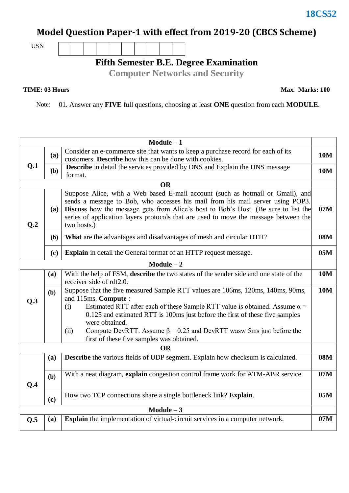## **18CS52**

## **Model Question Paper-1 with effect from 2019-20 (CBCS Scheme)**

USN

**Fifth Semester B.E. Degree Examination**

**Computer Networks and Security**

## **TIME: 03 Hours**

**Max. Marks: 100**

Note: 01. Answer any **FIVE** full questions, choosing at least **ONE** question from each **MODULE**.

| $Module - 1$ |            |                                                                                                                                                                                                                                                                                                                                                               |            |  |  |  |  |  |
|--------------|------------|---------------------------------------------------------------------------------------------------------------------------------------------------------------------------------------------------------------------------------------------------------------------------------------------------------------------------------------------------------------|------------|--|--|--|--|--|
| Q.1          | <b>(a)</b> | Consider an e-commerce site that wants to keep a purchase record for each of its<br><b>10M</b><br>customers. Describe how this can be done with cookies.                                                                                                                                                                                                      |            |  |  |  |  |  |
|              | <b>(b)</b> | <b>Describe</b> in detail the services provided by DNS and Explain the DNS message<br>format.                                                                                                                                                                                                                                                                 | <b>10M</b> |  |  |  |  |  |
|              |            | <b>OR</b>                                                                                                                                                                                                                                                                                                                                                     |            |  |  |  |  |  |
| Q.2          | (a)        | Suppose Alice, with a Web based E-mail account (such as hotmail or Gmail), and<br>sends a message to Bob, who accesses his mail from his mail server using POP3.<br>Discuss how the message gets from Alice's host to Bob's Host. (Be sure to list the<br>series of application layers protocols that are used to move the message between the<br>two hosts.) |            |  |  |  |  |  |
|              | <b>(b)</b> | <b>08M</b><br><b>What</b> are the advantages and disadvantages of mesh and circular DTH?                                                                                                                                                                                                                                                                      |            |  |  |  |  |  |
|              | (c)        | <b>Explain</b> in detail the General format of an HTTP request message.                                                                                                                                                                                                                                                                                       |            |  |  |  |  |  |
|              |            | $Module - 2$                                                                                                                                                                                                                                                                                                                                                  |            |  |  |  |  |  |
|              | (a)        | With the help of FSM, describe the two states of the sender side and one state of the<br>receiver side of rdt2.0.                                                                                                                                                                                                                                             | <b>10M</b> |  |  |  |  |  |
| Q.3          | (b)        | Suppose that the five measured Sample RTT values are 106ms, 120ms, 140ms, 90ms,<br>and 115ms. Compute:<br>Estimated RTT after each of these Sample RTT value is obtained. Assume $\alpha$ =<br>(i)<br>0.125 and estimated RTT is 100ms just before the first of these five samples                                                                            | <b>10M</b> |  |  |  |  |  |
|              |            | were obtained.<br>Compute DevRTT. Assume $\beta = 0.25$ and DevRTT was 5ms just before the<br>(ii)<br>first of these five samples was obtained.                                                                                                                                                                                                               |            |  |  |  |  |  |
| <b>OR</b>    |            |                                                                                                                                                                                                                                                                                                                                                               |            |  |  |  |  |  |
|              | (a)        | <b>Describe</b> the various fields of UDP segment. Explain how checksum is calculated.                                                                                                                                                                                                                                                                        | <b>08M</b> |  |  |  |  |  |
| Q.4          | (b)        | With a neat diagram, explain congestion control frame work for ATM-ABR service.                                                                                                                                                                                                                                                                               | 07M        |  |  |  |  |  |
|              | (c)        | How two TCP connections share a single bottleneck link? Explain.                                                                                                                                                                                                                                                                                              | 05M        |  |  |  |  |  |
| $Module - 3$ |            |                                                                                                                                                                                                                                                                                                                                                               |            |  |  |  |  |  |
| Q.5          | (a)        | <b>Explain</b> the implementation of virtual-circuit services in a computer network.                                                                                                                                                                                                                                                                          | 07M        |  |  |  |  |  |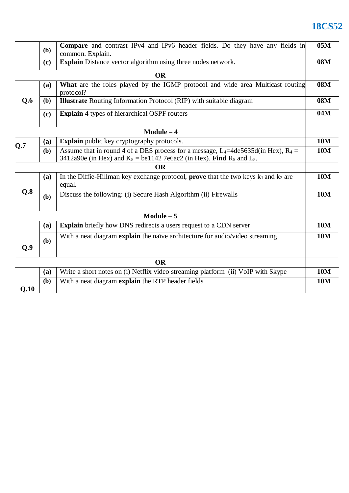## **18CS52**

|              | (b)                                                                 | <b>Compare</b> and contrast IPv4 and IPv6 header fields. Do they have any fields in<br>common. Explain.                                                                                   |            |  |  |  |  |
|--------------|---------------------------------------------------------------------|-------------------------------------------------------------------------------------------------------------------------------------------------------------------------------------------|------------|--|--|--|--|
|              | Explain Distance vector algorithm using three nodes network.<br>(c) |                                                                                                                                                                                           |            |  |  |  |  |
| <b>OR</b>    |                                                                     |                                                                                                                                                                                           |            |  |  |  |  |
| Q.6          | (a)                                                                 | What are the roles played by the IGMP protocol and wide area Multicast routing<br>protocol?                                                                                               |            |  |  |  |  |
|              | (b)                                                                 | <b>Illustrate</b> Routing Information Protocol (RIP) with suitable diagram                                                                                                                |            |  |  |  |  |
|              | (c)                                                                 | <b>Explain</b> 4 types of hierarchical OSPF routers                                                                                                                                       |            |  |  |  |  |
| $Module - 4$ |                                                                     |                                                                                                                                                                                           |            |  |  |  |  |
|              | (a)                                                                 | Explain public key cryptography protocols.                                                                                                                                                | <b>10M</b> |  |  |  |  |
| Q.7          | (b)                                                                 | Assume that in round 4 of a DES process for a message, L <sub>4</sub> =4de5635d(in Hex), R <sub>4</sub> =<br>3412a90e (in Hex) and $K_5$ = be1142 7e6ac2 (in Hex). Find $R_5$ and $L_5$ . | <b>10M</b> |  |  |  |  |
| <b>OR</b>    |                                                                     |                                                                                                                                                                                           |            |  |  |  |  |
| Q.8          | <b>(a)</b>                                                          | In the Diffie-Hillman key exchange protocol, <b>prove</b> that the two keys $k_1$ and $k_2$ are<br>equal.                                                                                 |            |  |  |  |  |
|              | (b)                                                                 | Discuss the following: (i) Secure Hash Algorithm (ii) Firewalls                                                                                                                           | <b>10M</b> |  |  |  |  |
| $Module - 5$ |                                                                     |                                                                                                                                                                                           |            |  |  |  |  |
|              | (a)                                                                 | <b>Explain</b> briefly how DNS redirects a users request to a CDN server                                                                                                                  | <b>10M</b> |  |  |  |  |
| Q.9          | (b)                                                                 | With a neat diagram explain the naïve architecture for audio/video streaming                                                                                                              | <b>10M</b> |  |  |  |  |
| <b>OR</b>    |                                                                     |                                                                                                                                                                                           |            |  |  |  |  |
|              | (a)                                                                 | Write a short notes on (i) Netflix video streaming platform (ii) VoIP with Skype                                                                                                          | <b>10M</b> |  |  |  |  |
| Q.10         | (b)                                                                 | With a neat diagram explain the RTP header fields                                                                                                                                         | <b>10M</b> |  |  |  |  |